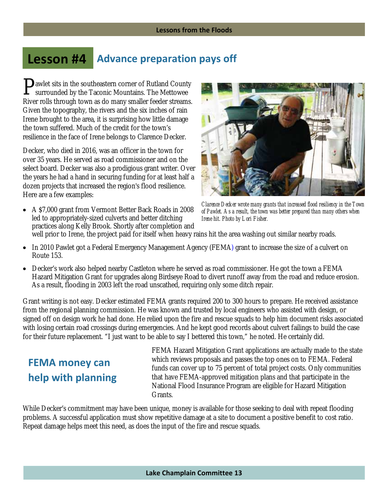## **Lesson #4 Advance preparation pays off**

**P**awlet sits in the southeastern corner of Rutland County<br>surrounded by the Taconic Mountains. The Mettowee surrounded by the Taconic Mountains. The Mettowee River rolls through town as do many smaller feeder streams. Given the topography, the rivers and the six inches of rain Irene brought to the area, it is surprising how little damage the town suffered. Much of the credit for the town's resilience in the face of Irene belongs to Clarence Decker.

Decker, who died in 2016, was an officer in the town for over 35 years. He served as road commissioner and on the select board. Decker was also a prodigious grant writer. Over the years he had a hand in securing funding for at least half a dozen projects that increased the region's flood resilience. Here are a few examples:

 A \$7,000 grant from Vermont Better Back Roads in 2008 led to appropriately-sized culverts and better ditching practices along Kelly Brook. Shortly after completion and



*Clarence Decker wrote many grants that increased flood resiliency in the Town of Pawlet. As a result, the town was better prepared than many others when Irene hit. Photo by Lori Fisher.* 

well prior to Irene, the project paid for itself when heavy rains hit the area washing out similar nearby roads.

- In 2010 Pawlet got a Federal Emergency Management Agency (FEMA) grant to increase the size of a culvert on Route 153.
- Decker's work also helped nearby Castleton where he served as road commissioner. He got the town a FEMA Hazard Mitigation Grant for upgrades along Birdseye Road to divert runoff away from the road and reduce erosion. As a result, flooding in 2003 left the road unscathed, requiring only some ditch repair.

Grant writing is not easy. Decker estimated FEMA grants required 200 to 300 hours to prepare. He received assistance from the regional planning commission. He was known and trusted by local engineers who assisted with design, or signed off on design work he had done. He relied upon the fire and rescue squads to help him document risks associated with losing certain road crossings during emergencies. And he kept good records about culvert failings to build the case for their future replacement. "I just want to be able to say I bettered this town," he noted. He certainly did.

## **FEMA money can help with planning**

FEMA Hazard Mitigation Grant applications are actually made to the state which reviews proposals and passes the top ones on to FEMA. Federal funds can cover up to 75 percent of total project costs. Only communities that have FEMA-approved mitigation plans and that participate in the National Flood Insurance Program are eligible for Hazard Mitigation Grants.

While Decker's commitment may have been unique, money is available for those seeking to deal with repeat flooding problems. A successful application must show repetitive damage at a site to document a positive benefit to cost ratio. Repeat damage helps meet this need, as does the input of the fire and rescue squads.